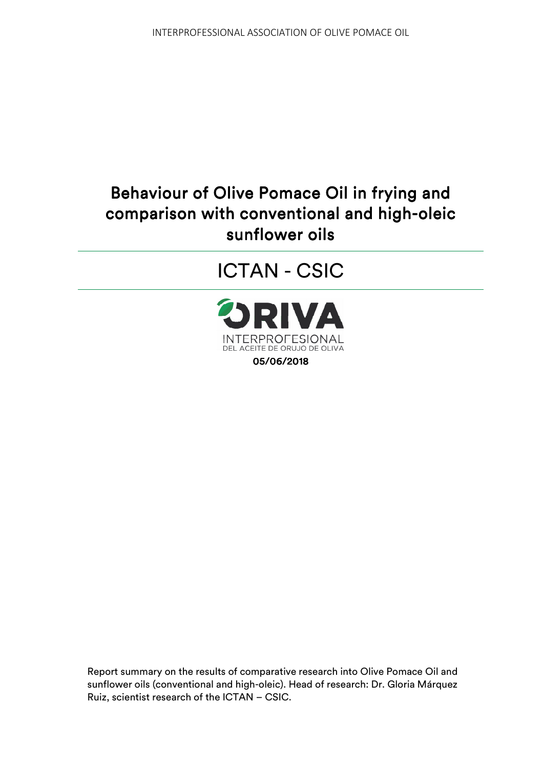# Behaviour of Olive Pomace Oil in frying and comparison with conventional and high-oleic sunflower oils

ICTAN - CSIC



Report summary on the results of comparative research into Olive Pomace Oil and sunflower oils (conventional and high-oleic). Head of research: Dr. Gloria Márquez Ruiz, scientist research of the ICTAN – CSIC.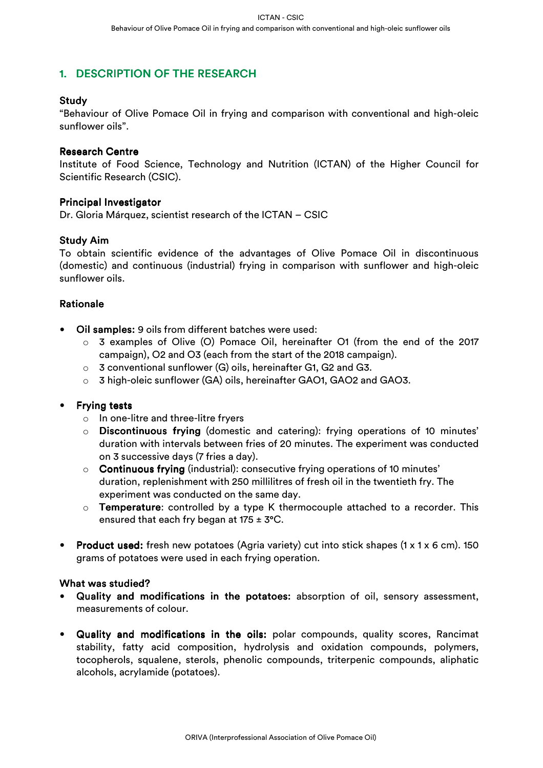# 1. DESCRIPTION OF THE RESEARCH

# Study

"Behaviour of Olive Pomace Oil in frying and comparison with conventional and high-oleic sunflower oils".

## **Research Centre**

Institute of Food Science, Technology and Nutrition (ICTAN) of the Higher Council for Scientific Research (CSIC).

## **Principal Investigator**

Dr. Gloria Márquez, scientist research of the ICTAN – CSIC

## **Study Aim**

To obtain scientific evidence of the advantages of Olive Pomace Oil in discontinuous (domestic) and continuous (industrial) frying in comparison with sunflower and high-oleic sunflower oils.

# Rationale

- Oil samples: 9 oils from different batches were used:
	- o 3 examples of Olive (O) Pomace Oil, hereinafter O1 (from the end of the 2017 campaign), O2 and O3 (each from the start of the 2018 campaign).
	- o 3 conventional sunflower (G) oils, hereinafter G1, G2 and G3.
	- o 3 high-oleic sunflower (GA) oils, hereinafter GAO1, GAO2 and GAO3.

## **Frying tests**

- o In one-litre and three-litre fryers
- $\circ$  Discontinuous frying (domestic and catering): frying operations of 10 minutes' duration with intervals between fries of 20 minutes. The experiment was conducted on 3 successive days (7 fries a day).
- $\circ$  Continuous frying (industrial): consecutive frying operations of 10 minutes' duration, replenishment with 250 millilitres of fresh oil in the twentieth fry. The experiment was conducted on the same day.
- $\circ$  Temperature: controlled by a type K thermocouple attached to a recorder. This ensured that each fry began at  $175 \pm 3$ °C.
- Product used: fresh new potatoes (Agria variety) cut into stick shapes (1 x 1 x 6 cm). 150 grams of potatoes were used in each frying operation.

## What was studied?

- Quality and modifications in the potatoes: absorption of oil, sensory assessment, measurements of colour.
- Quality and modifications in the oils: polar compounds, quality scores, Rancimat stability, fatty acid composition, hydrolysis and oxidation compounds, polymers, tocopherols, squalene, sterols, phenolic compounds, triterpenic compounds, aliphatic alcohols, acrylamide (potatoes).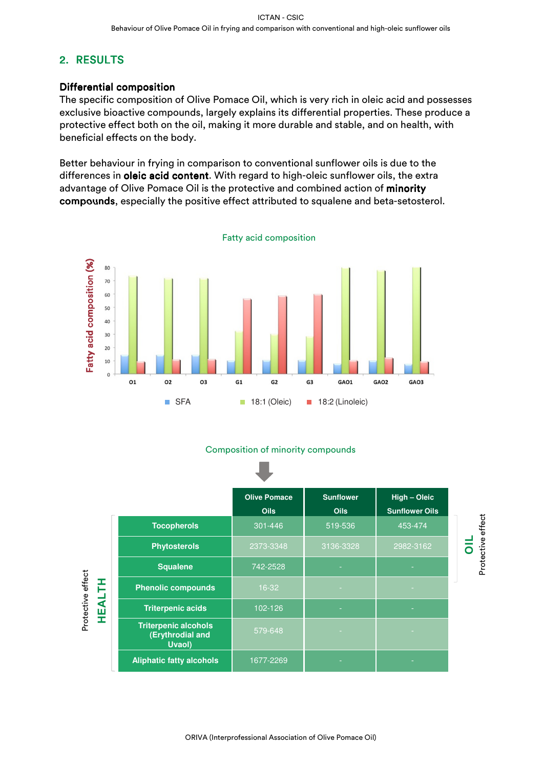# 2. RESULTS

# Differential composition

The specific composition of Olive Pomace Oil, which is very rich in oleic acid and possesses exclusive bioactive compounds, largely explains its differential properties. These produce a protective effect both on the oil, making it more durable and stable, and on health, with beneficial effects on the body.

Better behaviour in frying in comparison to conventional sunflower oils is due to the differences in oleic acid content. With regard to high-oleic sunflower oils, the extra advantage of Olive Pomace Oil is the protective and combined action of minority compounds, especially the positive effect attributed to squalene and beta-setosterol.



# Fatty acid composition

## Composition of minority compounds

|                                    |                                                           | <b>Olive Pomace</b><br><b>Oils</b> | <b>Sunflower</b><br><b>Oils</b> | High - Oleic<br><b>Sunflower Oils</b> |
|------------------------------------|-----------------------------------------------------------|------------------------------------|---------------------------------|---------------------------------------|
| Protective effect<br><b>HEALTH</b> | <b>Tocopherols</b>                                        | 301-446                            | 519-536                         | 453-474                               |
|                                    | <b>Phytosterols</b>                                       | 2373-3348                          | 3136-3328                       | 2982-3162                             |
|                                    | <b>Squalene</b>                                           | 742-2528                           |                                 |                                       |
|                                    | <b>Phenolic compounds</b>                                 | $16-32$                            |                                 |                                       |
|                                    | <b>Triterpenic acids</b>                                  | 102-126                            |                                 |                                       |
|                                    | <b>Triterpenic alcohols</b><br>(Erythrodial and<br>Uvaol) | 579-648                            |                                 |                                       |
|                                    | <b>Aliphatic fatty alcohols</b>                           | 1677-2269                          |                                 |                                       |

**OIL**<br>Protective effect Protective effect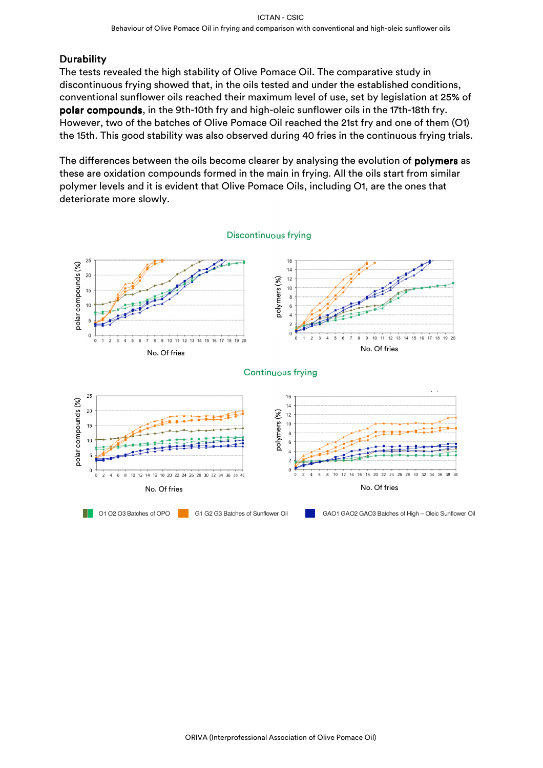# Durability Durability

The tests revealed the high stability of Olive Pomace Oil. The comparative study in discontinuous frying showed that, in the oils tested and under the established conditions, conventional sunflower oils reached their maximum level of use, set by legislation at 25% of polar compounds, in the 9th-10th fry and high-oleic sunflower oils in the 17th-18th fry. However, two of the batches of Olive Pomace Oil reached the 21st fry and one of them (O1) the 15th. This good stability was also observed during 40 fries in the continuous frying trials.

The differences between the oils become clearer by analysing the evolution of **polymers** as these are oxidation compounds formed in the main in frying. All the oils start from similar polymer levels and it is evident that Olive Pomace Oils, including O1, are the ones that deteriorate more slowly.

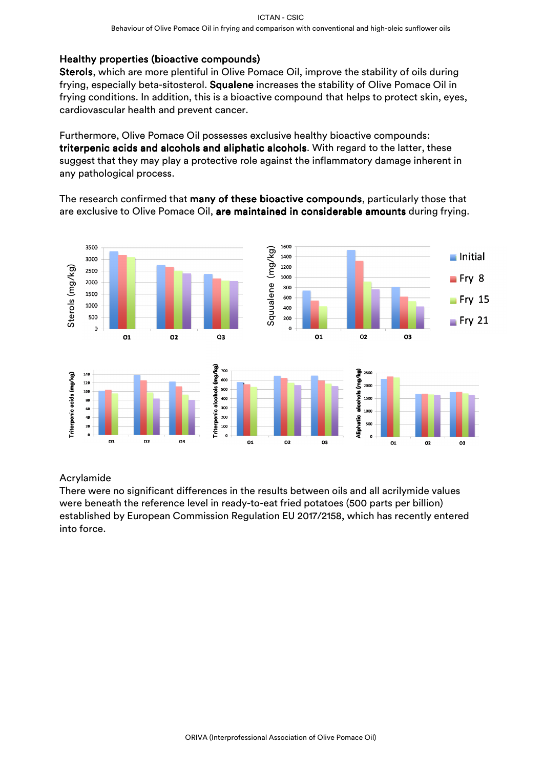# Healthy properties (bioactive compounds)

Sterols, which are more plentiful in Olive Pomace Oil, improve the stability of oils during frying, especially beta-sitosterol. Squalene increases the stability of Olive Pomace Oil in frying conditions. In addition, this is a bioactive compound that helps to protect skin, eyes, cardiovascular health and prevent cancer.

Furthermore, Olive Pomace Oil possesses exclusive healthy bioactive compounds: triterpenic acids and alcohols and aliphatic alcohols. With regard to the latter, these suggest that they may play a protective role against the inflammatory damage inherent in any pathological process.

The research confirmed that many of these bioactive compounds, particularly those that are exclusive to Olive Pomace Oil, are maintained in considerable amounts during frying.



# Acrylamide

There were no significant differences in the results between oils and all acrilymide values were beneath the reference level in ready-to-eat fried potatoes (500 parts per billion) established by European Commission Regulation EU 2017/2158, which has recently entered into force.